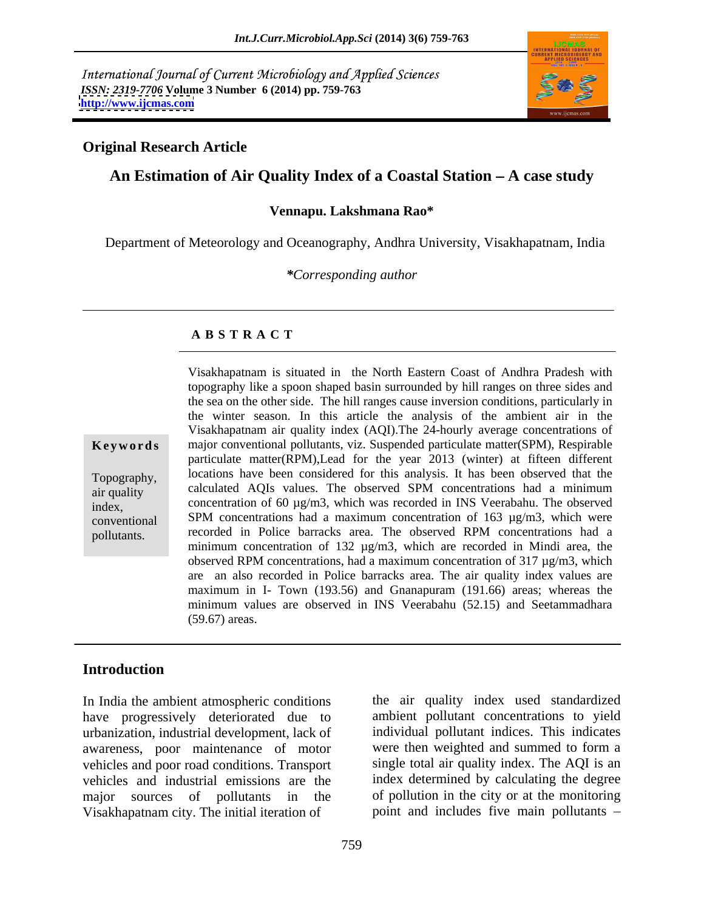International Journal of Current Microbiology and Applied Sciences *ISSN: 2319-7706* **Volume 3 Number 6 (2014) pp. 759-763 <http://www.ijcmas.com>**



## **Original Research Article**

## An Estimation of Air Quality Index of a Coastal Station – A case study

### **Vennapu. Lakshmana Rao\***

Department of Meteorology and Oceanography, Andhra University, Visakhapatnam, India

*\*Corresponding author*

### **A B S T R A C T**

**Ke ywo rds** major conventional pollutants, viz. Suspended particulate matter(SPM), Respirable Topography, locations have been considered for this analysis. It has been observed that the air quality calculated AQIs values. The observed SPM concentrations had a minimum index, concentration of 60 µg/m3, which was recorded in INS Veerabahu. The observed conventional SPM concentrations had a maximum concentration of 163 µg/m3, which were pollutants. recorded in Police barracks area. The observed RPM concentrations had a Visakhapatnam is situated in the North Eastern Coast of Andhra Pradesh with topography like a spoon shaped basin surrounded by hill ranges on three sides and the sea on the other side. The hill ranges cause inversion conditions, particularly in the winter season. In this article the analysis of the ambient air in the Visakhapatnam air quality index (AQI).The 24-hourly average concentrations of particulate matter(RPM),Lead for the year 2013 (winter) at fifteen different minimum concentration of 132 µg/m3, which are recorded in Mindi area, the observed RPM concentrations, had a maximum concentration of 317 µg/m3, which are an also recorded in Police barracks area. The air quality index values are maximum in I- Town (193.56) and Gnanapuram (191.66) areas; whereas the minimum values are observed in INS Veerabahu (52.15) and Seetammadhara (59.67) areas.

## **Introduction**

In India the ambient atmospheric conditions have progressively deteriorated due to urbanization, industrial development, lack of awareness, poor maintenance of motor vehicles and poor road conditions. Transport vehicles and industrial emissions are the index determined by calculating the degree major sources of pollutants in the Visakhapatnam city. The initial iteration of

the air quality index used standardized ambient pollutant concentrations to yield individual pollutant indices. This indicates were then weighted and summed to form a single total air quality index. The AQI is an of pollution in the city or at the monitoring point and includes five main pollutants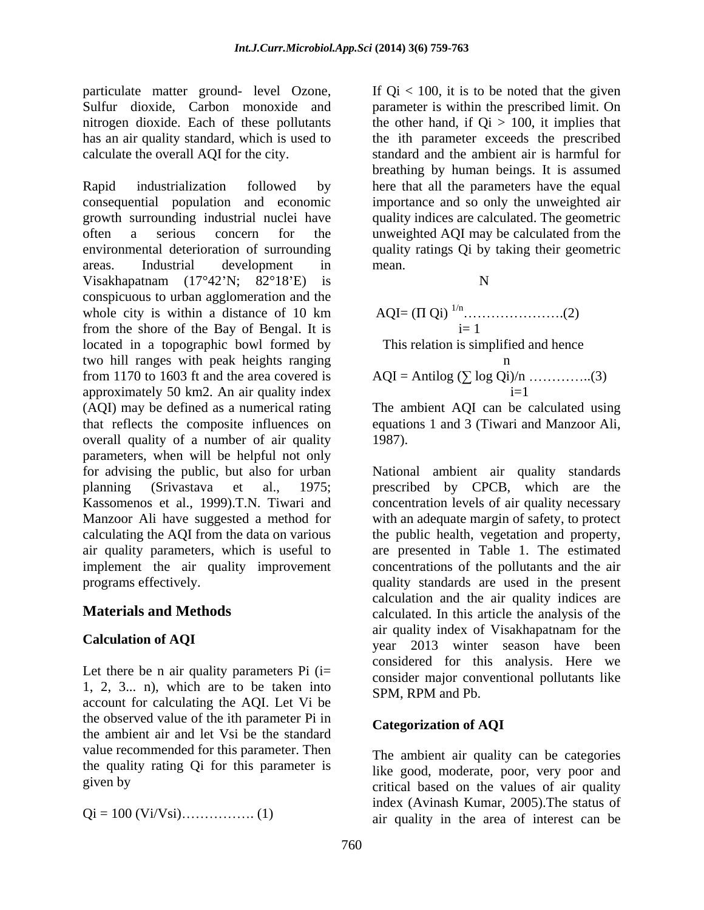particulate matter ground- level Ozone,

Rapid industrialization followed by here that all the parameters have the equal consequential population and economic importance and so only the unweighted air growth surrounding industrial nuclei have quality indices are calculated. The geometric often a serious concern for the unweighted AQI may be calculated from the environmental deterioration of surrounding quality ratings Qi by taking their geometric areas. Industrial development in Visakhapatnam  $(17^{\circ}42^{\prime}N; 82^{\circ}18^{\prime}E)$  is N conspicuous to urban agglomeration and the whole city is within a distance of 10 km from the shore of the Bay of Bengal. It is located in a topographic bowl formed by two hill ranges with peak heights ranging from 1170 to 1603 ft and the area covered is approximately 50 km2. An air quality index (AQI) may be defined as a numerical rating The ambient AQI can be calculated using that reflects the composite influences on equations 1 and 3 (Tiwari and Manzoor Ali, overall quality of a number of air quality 1987). parameters, when will be helpful not only for advising the public, but also for urban National ambient air quality standards planning (Srivastava et al., 1975; prescribed by CPCB, which are the Kassomenos et al., 1999).T.N. Tiwari and concentration levels of air quality necessary Manzoor Ali have suggested a method for with an adequate margin of safety, to protect calculating the AQI from the data on various the public health, vegetation and property, air quality parameters, which is useful to are presented in Table 1. The estimated implement the air quality improvement concentrations of the pollutants and the air

Let there be n air quality parameters  $Pi$  (i= 1, 2, 3... n), which are to be taken into account for calculating the AQI. Let Vi be the observed value of the ith parameter Pi in the ambient air and let Vsi be the standard value recommended for this parameter. Then the quality rating Qi for this parameter is

$$
Qi = 100 (Vi/Vsi)
$$
............ (1)

Sulfur dioxide, Carbon monoxide and parameter is within the prescribed limit. On nitrogen dioxide. Each of these pollutants the other hand, if Qi > 100, it implies that has an air quality standard, which is used to the ith parameter exceeds the prescribed calculate the overall AQI for the city. standard and the ambient air is harmful for If  $Qi < 100$ , it is to be noted that the given breathing by human beings. It is assumed mean.

N

AQI= ( Qi) 1/n .(2) i= 1

This relation is simplified and hence

$$
AQI = Antilog\ (\sum log\ Qi)/n \ \ldots \ldots \ldots \ldots \ldots (3)
$$
  
i=1

1987).

programs effectively. quality standards are used in the present **Materials and Methods** calculated. In this article the analysis of the **Calculation of AQI** and the season have been window of the season have been visitating the season have been visitating the season of the season of the season have been visitating the season of the season of the season of calculation and the air quality indices are air quality index of Visakhapatnam for the considered for this analysis. Here we consider major conventional pollutants like SPM, RPM and Pb.

## **Categorization of AQI**

given by the critical based on the values of air quality Qi = 100 (Vi/Vsi) . (1) air quality in the area of interest can beThe ambient air quality can be categories like good, moderate, poor, very poor and index (Avinash Kumar, 2005).The status of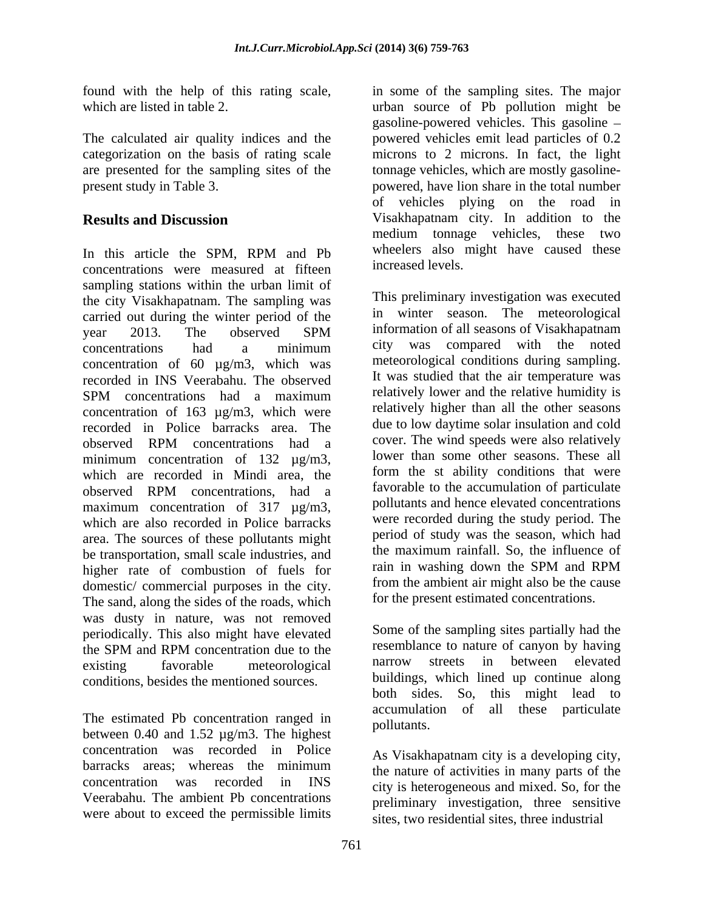categorization on the basis of rating scale

In this article the SPM, RPM and Pb wheelers also might have caused these concentrations were measured at fifteen sampling stations within the urban limit of the city Visakhapatnam. The sampling was carried out during the winter period of the year 2013. The observed SPM concentrations had a minimum city was compared with the noted concentration of 60 µg/m3, which was recorded in INS Veerabahu. The observed SPM concentrations had a maximum relatively lower and the relative humidity is concentration of 163 µg/m3, which were recorded in Police barracks area. The observed RPM concentrations had a cover. The wind speeds were also relatively minimum concentration of 132  $\mu$ g/m3, which are recorded in Mindi area, the observed RPM concentrations, had a maximum concentration of 317  $\mu$ g/m3, which are also recorded in Police barracks area. The sources of these pollutants might be transportation, small scale industries, and the maximum raintall. So, the influence of higher rate of combustion of fuels for and in washing down the SPM and RPM higher rate of combustion of fuels for domestic/ commercial purposes in the city. The sand, along the sides of the roads, which was dusty in nature, was not removed periodically. This also might have elevated the SPM and RPM concentration due to the resemblance to nature of canyon by having existing favorable meteorological narrow streets in between elevated

between 0.40 and 1.52 µg/m3. The highest concentration was recorded in Police  $\frac{1}{2}$  barracks areas; whereas the minimum  $\frac{1}{2}$  the nature of activities in many parts of the concentration was recorded in INS city is heterogeneous and mixed. So, for the Veerabahu. The ambient Pb concentrations were about to exceed the permissible limits

found with the help of this rating scale, in some of the sampling sites. The major which are listed in table 2. urban source of Pb pollution might be The calculated air quality indices and the powered vehicles emit lead particles of 0.2 are presented for the sampling sites of the tonnage vehicles, which are mostly gasoline present study in Table 3. powered, have lion share in the total number **Results and Discussion** Visakhapatnam city. In addition to the gasoline-powered vehicles. This gasoline microns to 2 microns. In fact, the light of vehicles plying on the road in medium tonnage vehicles, these two wheelers also might have caused these increased levels.

> This preliminary investigation was executed in winter season. The meteorological information of all seasons of Visakhapatnam city was compared with the noted meteorological conditions during sampling. It was studied that the air temperature was relatively lower and the relative humidity is relatively higher than all the other seasons due to low daytime solar insulation and cold cover. The wind speeds were also relatively lower than some other seasons. These all form the st ability conditions that were favorable to the accumulation of particulate pollutants and hence elevated concentrations were recorded during the study period. The period of study was the season, which had the maximum rainfall. So, the influence of rain in washing down the SPM and RPM from the ambient air might also be the cause for the present estimated concentrations.

conditions, besides the mentioned sources.<br>buildings, which lined up continue along<br>both sides. So, this might lead to The estimated Pb concentration ranged in accumulation of all these particulate Some of the sampling sites partially had the resemblance to nature of canyon by having narrow streets in between elevated buildings, which lined up continue along both sides. So, this might lead to accumulation of all these particulate pollutants.

> As Visakhapatnam city is a developing city, the nature of activities in many parts of the preliminary investigation, three sensitive sites, two residential sites, three industrial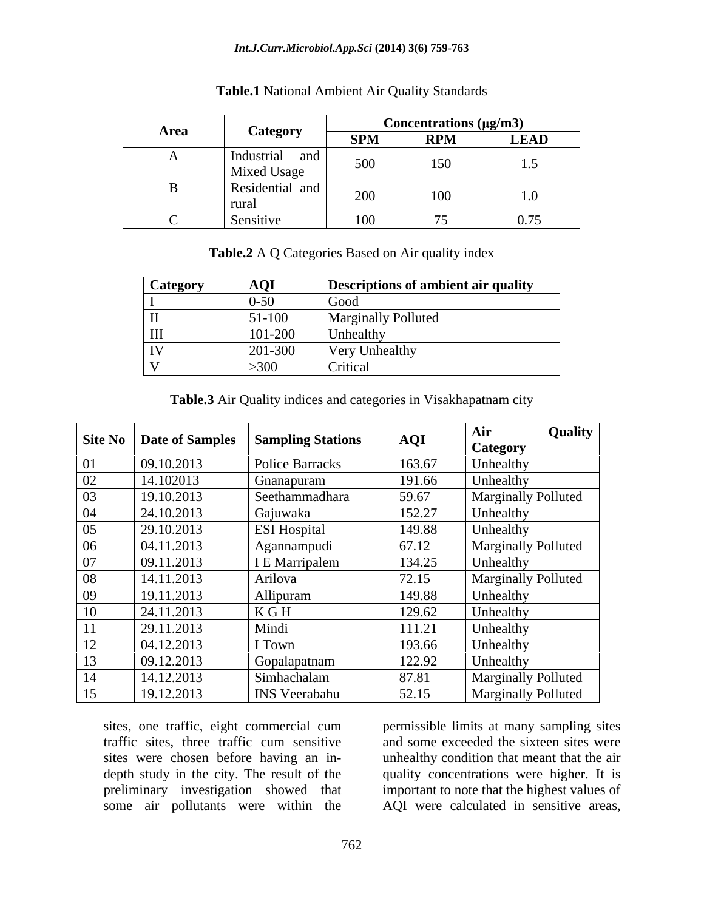### *Int.J.Curr.Microbiol.App.Sci* **(2014) 3(6) 759-763**

|        |                                 | $\frac{\text{Concentrations (µg/m3)}}{\text{RPM}}$ LEAD |                                            |                                                     |
|--------|---------------------------------|---------------------------------------------------------|--------------------------------------------|-----------------------------------------------------|
| Area   | <b>Category</b>                 | SPM                                                     |                                            |                                                     |
|        | Industrial and  <br>Mixed Usage | 500                                                     | 150                                        | 1.5                                                 |
|        | Residential and                 | 200                                                     | 100                                        | 1.0                                                 |
| $\sim$ | Sensitive                       | 100                                                     | $\overline{z}$<br>$\overline{\phantom{a}}$ | $\sim$ $\sim$ $\sim$<br>$\mathbf{U}$ . $\mathbf{U}$ |

### **Table.1** National Ambient Air Quality Standards

**Table.2** A Q Categories Based on Air quality index

| <b>Category</b>    | <b>AQI</b> | Descriptions of ambient air quality |
|--------------------|------------|-------------------------------------|
|                    | $0 - 50$   | $\bigcup$ OOC                       |
| $\mathbf{L}$       | 51-100     | <b>Marginally Polluted</b>          |
| $\mathop{\rm III}$ | 101-200    | T<br>Unhealthy                      |
| <b>TV</b>          | 201-300    | Very Unhealthy                      |
|                    | >300       | Critical                            |

**Table.3** Air Quality indices and categories in Visakhapatnam city

|     | Site No   Date of Samples | <b>Sampling Stations</b> | AQI    | Air<br><b>Category</b>     | Quality |
|-----|---------------------------|--------------------------|--------|----------------------------|---------|
| 01  | 09.10.2013                | <b>Police Barracks</b>   | 163.67 | Unhealthy                  |         |
| 02  | 14.102013                 | Gnanapuram               | 191.66 | Unhealthy                  |         |
| 03  | 19.10.2013                | Seethammadhara           | 59.67  | <b>Marginally Polluted</b> |         |
| 04  | 24.10.2013                | Gajuwaka                 | 152.27 | Unhealthy                  |         |
| 05  | 29.10.2013                | <b>ESI</b> Hospital      | 149.88 | Unhealthy                  |         |
| 06  | 04.11.2013                | Agannampudi              | 67.12  | <b>Marginally Polluted</b> |         |
| 07  | 09.11.2013                | I E Marripalem           | 134.25 | Unhealthy                  |         |
| 08  | 14.11.2013                | Arilova                  | 72.15  | <b>Marginally Polluted</b> |         |
| 09  | 19.11.2013                | Allipuram                | 149.88 | Unhealthy                  |         |
| 10  | 24.11.2013                | K G H                    | 129.62 | Unhealthy                  |         |
| 11  | 29.11.2013                | Mindi                    | 111.21 | Unhealthy                  |         |
| 12  | 04.12.2013                | I Town                   | 193.66 | Unhealthy                  |         |
| 13  | 09.12.2013                | Gopalapatnam             | 122.92 | Unhealthy                  |         |
| -14 | 14.12.2013                | Simhachalam              | 87.81  | <b>Marginally Polluted</b> |         |
| 15  | 19.12.2013                | <b>INS</b> Veerabahu     | 52.15  | <b>Marginally Polluted</b> |         |

sites, one traffic, eight commercial cum permissible limits at many sampling sites traffic sites, three traffic cum sensitive and some exceeded the sixteen sites were sites were chosen before having an in- unhealthy condition that meant that the air depth study in the city. The result of the quality concentrations were higher. It is preliminary investigation showed that important to note that the highest values of some air pollutants were within the AQI were calculated in sensitive areas,